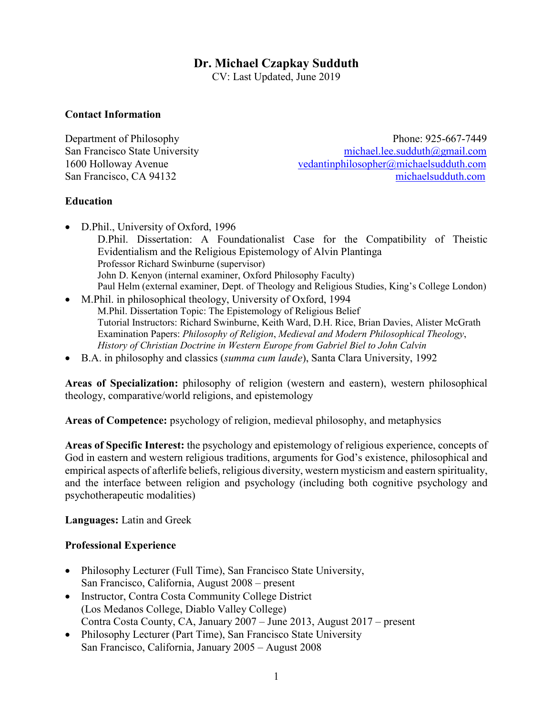## **Dr. Michael Czapkay Sudduth**

CV: Last Updated, June 2019

#### **Contact Information**

Department of Philosophy Phone: 925-667-7449 San Francisco State University [michael.lee.sudduth@gmail.com](mailto:michael.lee.sudduth@gmail.com) 1600 Holloway Avenue [vedantinphilosopher@michaelsudduth.com](mailto:vedantinphilosopher@michaelsudduth.com) San Francisco, CA 94132 [michaelsudduth.com](http://michaelsudduth.com/)

#### **Education**

- D.Phil., University of Oxford, 1996 D.Phil. Dissertation: A Foundationalist Case for the Compatibility of Theistic Evidentialism and the Religious Epistemology of Alvin Plantinga Professor Richard Swinburne (supervisor) John D. Kenyon (internal examiner, Oxford Philosophy Faculty) Paul Helm (external examiner, Dept. of Theology and Religious Studies, King's College London)
- M.Phil. in philosophical theology, University of Oxford, 1994 M.Phil. Dissertation Topic: The Epistemology of Religious Belief Tutorial Instructors: Richard Swinburne, Keith Ward, D.H. Rice, Brian Davies, Alister McGrath Examination Papers: *Philosophy of Religion*, *Medieval and Modern Philosophical Theology*, *History of Christian Doctrine in Western Europe from Gabriel Biel to John Calvin*
- B.A. in philosophy and classics (*summa cum laude*), Santa Clara University, 1992

**Areas of Specialization:** philosophy of religion (western and eastern), western philosophical theology, comparative/world religions, and epistemology

**Areas of Competence:** psychology of religion, medieval philosophy, and metaphysics

**Areas of Specific Interest:** the psychology and epistemology of religious experience, concepts of God in eastern and western religious traditions, arguments for God's existence, philosophical and empirical aspects of afterlife beliefs, religious diversity, western mysticism and eastern spirituality, and the interface between religion and psychology (including both cognitive psychology and psychotherapeutic modalities)

**Languages:** Latin and Greek

#### **Professional Experience**

- Philosophy Lecturer (Full Time), San Francisco State University, San Francisco, California, August 2008 – present
- Instructor, Contra Costa Community College District (Los Medanos College, Diablo Valley College) Contra Costa County, CA, January 2007 – June 2013, August 2017 – present
- Philosophy Lecturer (Part Time), San Francisco State University San Francisco, California, January 2005 – August 2008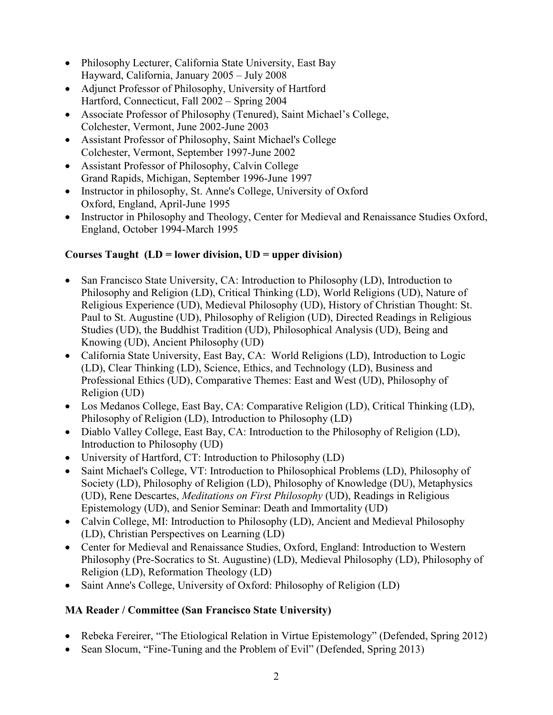- Philosophy Lecturer, California State University, East Bay Hayward, California, January 2005 – July 2008
- Adjunct Professor of Philosophy, University of Hartford Hartford, Connecticut, Fall 2002 – Spring 2004
- Associate Professor of Philosophy (Tenured), Saint Michael's College, Colchester, Vermont, June 2002-June 2003
- Assistant Professor of Philosophy, Saint Michael's College Colchester, Vermont, September 1997-June 2002
- Assistant Professor of Philosophy, Calvin College Grand Rapids, Michigan, September 1996-June 1997
- Instructor in philosophy, St. Anne's College, University of Oxford Oxford, England, April-June 1995
- Instructor in Philosophy and Theology, Center for Medieval and Renaissance Studies Oxford, England, October 1994-March 1995

## **Courses Taught (LD = lower division, UD = upper division)**

- San Francisco State University, CA: Introduction to Philosophy (LD), Introduction to Philosophy and Religion (LD), Critical Thinking (LD), World Religions (UD), Nature of Religious Experience (UD), Medieval Philosophy (UD), History of Christian Thought: St. Paul to St. Augustine (UD), Philosophy of Religion (UD), Directed Readings in Religious Studies (UD), the Buddhist Tradition (UD), Philosophical Analysis (UD), Being and Knowing (UD), Ancient Philosophy (UD)
- California State University, East Bay, CA: World Religions (LD), Introduction to Logic (LD), Clear Thinking (LD), Science, Ethics, and Technology (LD), Business and Professional Ethics (UD), Comparative Themes: East and West (UD), Philosophy of Religion (UD)
- Los Medanos College, East Bay, CA: Comparative Religion (LD), Critical Thinking (LD), Philosophy of Religion (LD), Introduction to Philosophy (LD)
- Diablo Valley College, East Bay, CA: Introduction to the Philosophy of Religion (LD), Introduction to Philosophy (UD)
- University of Hartford, CT: Introduction to Philosophy (LD)
- Saint Michael's College, VT: Introduction to Philosophical Problems (LD), Philosophy of Society (LD), Philosophy of Religion (LD), Philosophy of Knowledge (DU), Metaphysics (UD), Rene Descartes, *Meditations on First Philosophy* (UD), Readings in Religious Epistemology (UD), and Senior Seminar: Death and Immortality (UD)
- Calvin College, MI: Introduction to Philosophy (LD), Ancient and Medieval Philosophy (LD), Christian Perspectives on Learning (LD)
- Center for Medieval and Renaissance Studies, Oxford, England: Introduction to Western Philosophy (Pre-Socratics to St. Augustine) (LD), Medieval Philosophy (LD), Philosophy of Religion (LD), Reformation Theology (LD)
- Saint Anne's College, University of Oxford: Philosophy of Religion (LD)

# **MA Reader / Committee (San Francisco State University)**

- Rebeka Fereirer, "The Etiological Relation in Virtue Epistemology" (Defended, Spring 2012)
- Sean Slocum, "Fine-Tuning and the Problem of Evil" (Defended, Spring 2013)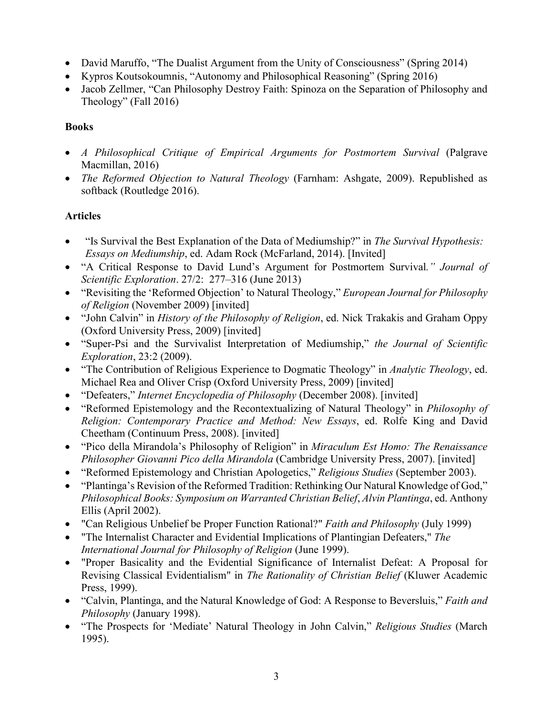- David Maruffo, "The Dualist Argument from the Unity of Consciousness" (Spring 2014)
- Kypros Koutsokoumnis, "Autonomy and Philosophical Reasoning" (Spring 2016)
- Jacob Zellmer, "Can Philosophy Destroy Faith: Spinoza on the Separation of Philosophy and Theology" (Fall 2016)

## **Books**

- *A Philosophical Critique of Empirical Arguments for Postmortem Survival* (Palgrave Macmillan, 2016)
- *The Reformed Objection to Natural Theology* (Farnham: Ashgate, 2009). Republished as softback (Routledge 2016).

## **Articles**

- "Is Survival the Best Explanation of the Data of Mediumship?" in *The Survival Hypothesis: Essays on Mediumship*, ed. Adam Rock (McFarland, 2014). [Invited]
- "A Critical Response to David Lund's Argument for Postmortem Survival*." Journal of Scientific Exploration*. 27/2: 277–316 (June 2013)
- "Revisiting the 'Reformed Objection' to Natural Theology," *European Journal for Philosophy of Religion* (November 2009) [invited]
- "John Calvin" in *History of the Philosophy of Religion*, ed. Nick Trakakis and Graham Oppy (Oxford University Press, 2009) [invited]
- "Super-Psi and the Survivalist Interpretation of Mediumship," *the Journal of Scientific Exploration*, 23:2 (2009).
- "The Contribution of Religious Experience to Dogmatic Theology" in *Analytic Theology*, ed. Michael Rea and Oliver Crisp (Oxford University Press, 2009) [invited]
- "Defeaters," *Internet Encyclopedia of Philosophy* (December 2008). [invited]
- "Reformed Epistemology and the Recontextualizing of Natural Theology" in *Philosophy of Religion: Contemporary Practice and Method: New Essays*, ed. Rolfe King and David Cheetham (Continuum Press, 2008). [invited]
- "Pico della Mirandola's Philosophy of Religion" in *Miraculum Est Homo: The Renaissance Philosopher Giovanni Pico della Mirandola* (Cambridge University Press, 2007). [invited]
- "Reformed Epistemology and Christian Apologetics," *Religious Studies* (September 2003).
- "Plantinga's Revision of the Reformed Tradition: Rethinking Our Natural Knowledge of God," *Philosophical Books: Symposium on Warranted Christian Belief*, *Alvin Plantinga*, ed. Anthony Ellis (April 2002).
- "Can Religious Unbelief be Proper Function Rational?" *Faith and Philosophy* (July 1999)
- "The Internalist Character and Evidential Implications of Plantingian Defeaters," *The International Journal for Philosophy of Religion* (June 1999).
- "Proper Basicality and the Evidential Significance of Internalist Defeat: A Proposal for Revising Classical Evidentialism" in *The Rationality of Christian Belief* (Kluwer Academic Press, 1999).
- "Calvin, Plantinga, and the Natural Knowledge of God: A Response to Beversluis," *Faith and Philosophy* (January 1998).
- "The Prospects for 'Mediate' Natural Theology in John Calvin," *Religious Studies* (March 1995).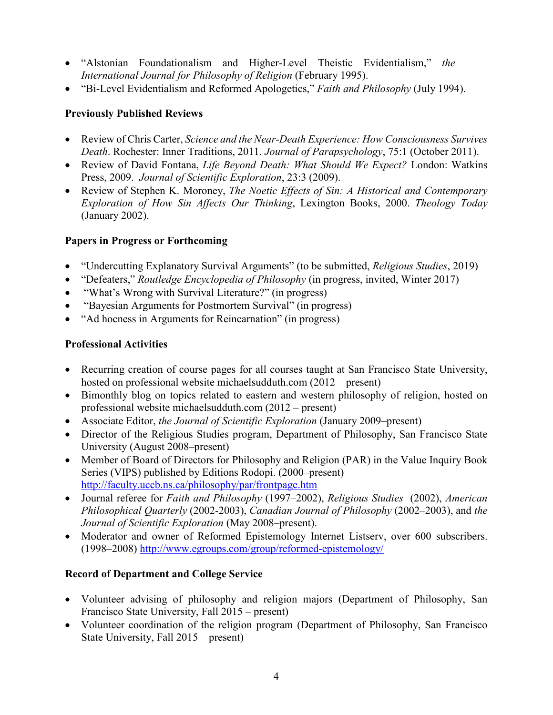- "Alstonian Foundationalism and Higher-Level Theistic Evidentialism," *the International Journal for Philosophy of Religion* (February 1995).
- "Bi-Level Evidentialism and Reformed Apologetics," *Faith and Philosophy* (July 1994).

## **Previously Published Reviews**

- Review of Chris Carter, *Science and the Near-Death Experience: How Consciousness Survives Death*. Rochester: Inner Traditions, 2011. *Journal of Parapsychology*, 75:1 (October 2011).
- Review of David Fontana, *Life Beyond Death: What Should We Expect?* London: Watkins Press, 2009. *Journal of Scientific Exploration*, 23:3 (2009).
- Review of Stephen K. Moroney, *The Noetic Effects of Sin: A Historical and Contemporary Exploration of How Sin Affects Our Thinking*, Lexington Books, 2000. *Theology Today* (January 2002).

## **Papers in Progress or Forthcoming**

- "Undercutting Explanatory Survival Arguments" (to be submitted, *Religious Studies*, 2019)
- "Defeaters," *Routledge Encyclopedia of Philosophy* (in progress, invited, Winter 2017)
- "What's Wrong with Survival Literature?" (in progress)
- "Bayesian Arguments for Postmortem Survival" (in progress)
- "Ad hocness in Arguments for Reincarnation" (in progress)

## **Professional Activities**

- Recurring creation of course pages for all courses taught at San Francisco State University, hosted on professional website michaelsudduth.com (2012 – present)
- Bimonthly blog on topics related to eastern and western philosophy of religion, hosted on professional website michaelsudduth.com (2012 – present)
- Associate Editor, *the Journal of Scientific Exploration* (January 2009–present)
- Director of the Religious Studies program, Department of Philosophy, San Francisco State University (August 2008–present)
- Member of Board of Directors for Philosophy and Religion (PAR) in the Value Inquiry Book Series (VIPS) published by Editions Rodopi. (2000–present) <http://faculty.uccb.ns.ca/philosophy/par/frontpage.htm>
- Journal referee for *Faith and Philosophy* (1997–2002), *Religious Studies* (2002), *American Philosophical Quarterly* (2002-2003), *Canadian Journal of Philosophy* (2002–2003), and *the Journal of Scientific Exploration* (May 2008–present).
- Moderator and owner of Reformed Epistemology Internet Listserv, over 600 subscribers. (1998–2008)<http://www.egroups.com/group/reformed-epistemology/>

## **Record of Department and College Service**

- Volunteer advising of philosophy and religion majors (Department of Philosophy, San Francisco State University, Fall 2015 – present)
- Volunteer coordination of the religion program (Department of Philosophy, San Francisco State University, Fall 2015 – present)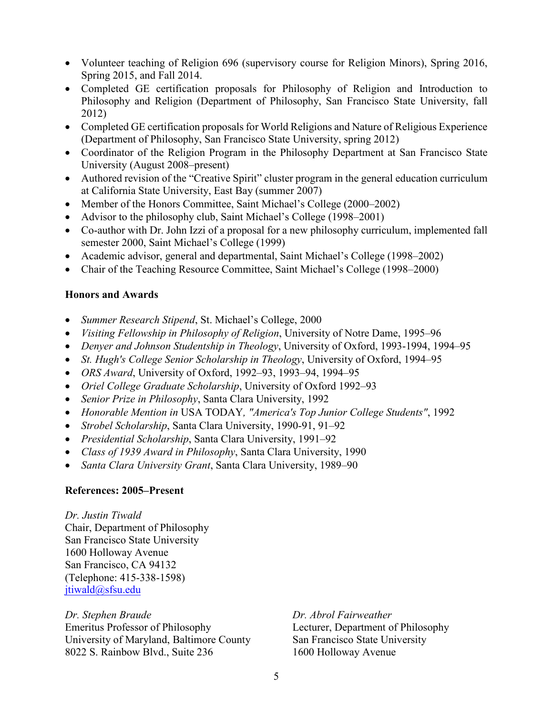- Volunteer teaching of Religion 696 (supervisory course for Religion Minors), Spring 2016, Spring 2015, and Fall 2014.
- Completed GE certification proposals for Philosophy of Religion and Introduction to Philosophy and Religion (Department of Philosophy, San Francisco State University, fall 2012)
- Completed GE certification proposals for World Religions and Nature of Religious Experience (Department of Philosophy, San Francisco State University, spring 2012)
- Coordinator of the Religion Program in the Philosophy Department at San Francisco State University (August 2008–present)
- Authored revision of the "Creative Spirit" cluster program in the general education curriculum at California State University, East Bay (summer 2007)
- Member of the Honors Committee, Saint Michael's College (2000–2002)
- Advisor to the philosophy club, Saint Michael's College (1998–2001)
- Co-author with Dr. John Izzi of a proposal for a new philosophy curriculum, implemented fall semester 2000, Saint Michael's College (1999)
- Academic advisor, general and departmental, Saint Michael's College (1998–2002)
- Chair of the Teaching Resource Committee, Saint Michael's College (1998–2000)

## **Honors and Awards**

- *Summer Research Stipend*, St. Michael's College, 2000
- *Visiting Fellowship in Philosophy of Religion*, University of Notre Dame, 1995–96
- *Denyer and Johnson Studentship in Theology*, University of Oxford, 1993-1994, 1994–95
- *St. Hugh's College Senior Scholarship in Theology*, University of Oxford, 1994–95
- *ORS Award*, University of Oxford, 1992–93, 1993–94, 1994–95
- *Oriel College Graduate Scholarship*, University of Oxford 1992–93
- *Senior Prize in Philosophy*, Santa Clara University, 1992
- *Honorable Mention in* USA TODAY*, "America's Top Junior College Students"*, 1992
- *Strobel Scholarship*, Santa Clara University, 1990-91, 91–92
- *Presidential Scholarship*, Santa Clara University, 1991–92
- *Class of 1939 Award in Philosophy*, Santa Clara University, 1990
- *Santa Clara University Grant*, Santa Clara University, 1989–90

## **References: 2005–Present**

#### *Dr. Justin Tiwald*

Chair, Department of Philosophy San Francisco State University 1600 Holloway Avenue San Francisco, CA 94132 (Telephone: 415-338-1598) [jtiwald@sfsu.edu](mailto:jtiwald@sfsu.edu)

*Dr. Stephen Braude Dr. Abrol Fairweather* Emeritus Professor of Philosophy Lecturer, Department of Philosophy University of Maryland, Baltimore County San Francisco State University 8022 S. Rainbow Blvd., Suite 2361600 Holloway Avenue